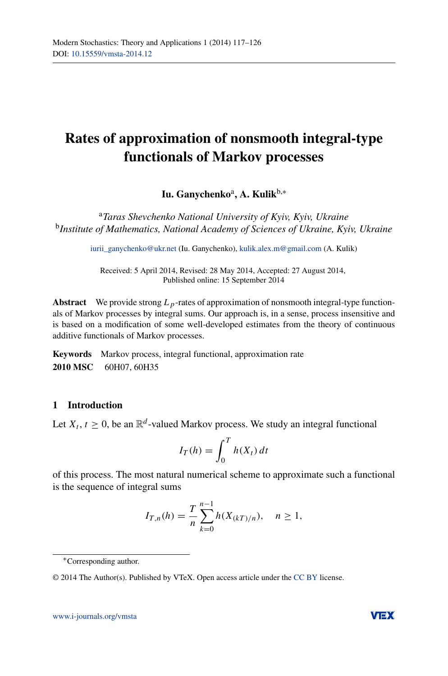# **Rates of approximation of nonsmooth integral-type functionals of Markov processes**

**Iu. Ganychenko**a**, A. Kulik**b,<sup>∗</sup>

<sup>a</sup>*Taras Shevchenko National University of Kyiv, Kyiv, Ukraine* <sup>b</sup>*Institute of Mathematics, National Academy of Sciences of Ukraine, Kyiv, Ukraine*

[iurii\\_ganychenko@ukr.net](mailto:iurii_ganychenko@ukr.net) (Iu. Ganychenko), [kulik.alex.m@gmail.com](mailto:kulik.alex.m@gmail.com) (A. Kulik)

Received: 5 April 2014, Revised: 28 May 2014, Accepted: 27 August 2014, Published online: 15 September 2014

**Abstract** We provide strong *Lp*-rates of approximation of nonsmooth integral-type functionals of Markov processes by integral sums. Our approach is, in a sense, process insensitive and is based on a modification of some well-developed estimates from the theory of continuous additive functionals of Markov processes.

**Keywords** Markov process, integral functional, approximation rate **2010 MSC** 60H07, 60H35

## **1 Introduction**

Let  $X_t$ ,  $t > 0$ , be an  $\mathbb{R}^d$ -valued Markov process. We study an integral functional

$$
I_T(h) = \int_0^T h(X_t) dt
$$

of this process. The most natural numerical scheme to approximate such a functional is the sequence of integral sums

$$
I_{T,n}(h) = \frac{T}{n} \sum_{k=0}^{n-1} h(X_{(kT)/n}), \quad n \ge 1,
$$



<sup>∗</sup>Corresponding author.

<sup>© 2014</sup> The Author(s). Published by VTeX. Open access article under the [CC BY](http://creativecommons.org/licenses/by/4.0/) license.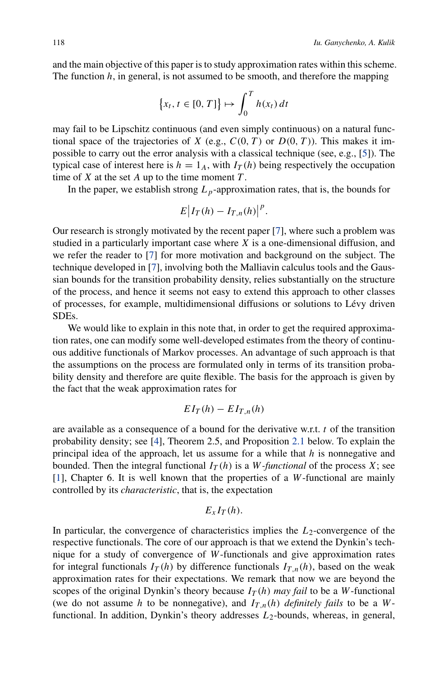and the main objective of this paper is to study approximation rates within this scheme. The function *h*, in general, is not assumed to be smooth, and therefore the mapping

$$
\{x_t, t \in [0, T]\} \mapsto \int_0^T h(x_t) dt
$$

may fail to be Lipschitz continuous (and even simply continuous) on a natural functional space of the trajectories of *X* (e.g.,  $C(0, T)$  or  $D(0, T)$ ). This makes it impossible to carry out the error analysis with a classical technique (see, e.g., [\[5\]](#page-9-0)). The typical case of interest here is  $h = 1_A$ , with  $I_T(h)$  being respectively the occupation time of  $X$  at the set  $A$  up to the time moment  $T$ .

In the paper, we establish strong  $L_p$ -approximation rates, that is, the bounds for

$$
E\big|I_T(h)-I_{T,n}(h)\big|^p.
$$

Our research is strongly motivated by the recent paper [\[7](#page-9-1)], where such a problem was studied in a particularly important case where *X* is a one-dimensional diffusion, and we refer the reader to [\[7\]](#page-9-1) for more motivation and background on the subject. The technique developed in [\[7](#page-9-1)], involving both the Malliavin calculus tools and the Gaussian bounds for the transition probability density, relies substantially on the structure of the process, and hence it seems not easy to extend this approach to other classes of processes, for example, multidimensional diffusions or solutions to Lévy driven SDEs.

We would like to explain in this note that, in order to get the required approximation rates, one can modify some well-developed estimates from the theory of continuous additive functionals of Markov processes. An advantage of such approach is that the assumptions on the process are formulated only in terms of its transition probability density and therefore are quite flexible. The basis for the approach is given by the fact that the weak approximation rates for

$$
EI_T(h) - EI_{T,n}(h)
$$

are available as a consequence of a bound for the derivative w.r.t. *t* of the transition probability density; see [\[4\]](#page-9-2), Theorem 2.5, and Proposition [2.1](#page-3-0) below. To explain the principal idea of the approach, let us assume for a while that *h* is nonnegative and bounded. Then the integral functional  $I_T(h)$  is a *W-functional* of the process *X*; see [\[1](#page-9-3)], Chapter 6. It is well known that the properties of a *W*-functional are mainly controlled by its *characteristic*, that is, the expectation

## $E_{r} I_T(h)$ .

In particular, the convergence of characteristics implies the  $L_2$ -convergence of the respective functionals. The core of our approach is that we extend the Dynkin's technique for a study of convergence of *W*-functionals and give approximation rates for integral functionals  $I_T(h)$  by difference functionals  $I_{T,n}(h)$ , based on the weak approximation rates for their expectations. We remark that now we are beyond the scopes of the original Dynkin's theory because  $I_T(h)$  *may fail* to be a *W*-functional (we do not assume *h* to be nonnegative), and  $I_{T,n}(h)$  *definitely fails* to be a *W*functional. In addition, Dynkin's theory addresses  $L_2$ -bounds, whereas, in general,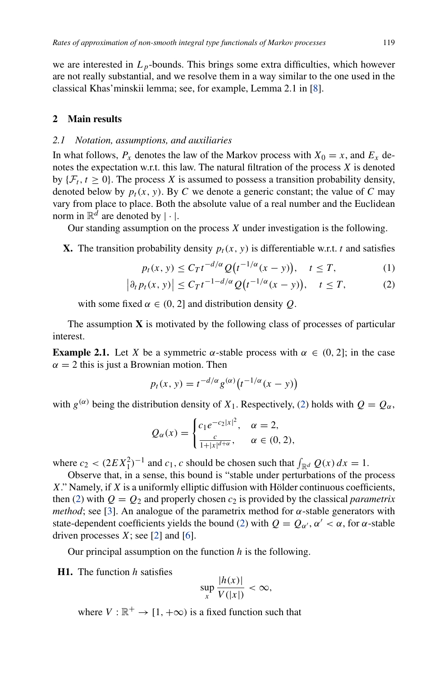we are interested in  $L_p$ -bounds. This brings some extra difficulties, which however are not really substantial, and we resolve them in a way similar to the one used in the classical Khas'minskii lemma; see, for example, Lemma 2.1 in [\[8](#page-9-4)].

### **2 Main results**

#### *2.1 Notation, assumptions, and auxiliaries*

In what follows,  $P_x$  denotes the law of the Markov process with  $X_0 = x$ , and  $E_x$  denotes the expectation w.r.t. this law. The natural filtration of the process *X* is denoted by  $\{\mathcal{F}_t, t \geq 0\}$ . The process X is assumed to possess a transition probability density, denoted below by  $p_t(x, y)$ . By C we denote a generic constant; the value of C may vary from place to place. Both the absolute value of a real number and the Euclidean norm in  $\mathbb{R}^d$  are denoted by  $|\cdot|$ .

Our standing assumption on the process *X* under investigation is the following.

**X.** The transition probability density  $p_t(x, y)$  is differentiable w.r.t. *t* and satisfies

<span id="page-2-1"></span><span id="page-2-0"></span>
$$
p_t(x, y) \le C_T t^{-d/\alpha} Q\big(t^{-1/\alpha}(x - y)\big), \quad t \le T,\tag{1}
$$

$$
\left|\partial_t p_t(x, y)\right| \le C_T t^{-1 - d/\alpha} Q\big(t^{-1/\alpha}(x - y)\big), \quad t \le T,\tag{2}
$$

with some fixed  $\alpha \in (0, 2]$  and distribution density Q.

The assumption **X** is motivated by the following class of processes of particular interest.

**Example 2.1.** Let *X* be a symmetric *α*-stable process with  $\alpha \in (0, 2]$ ; in the case  $\alpha = 2$  this is just a Brownian motion. Then

$$
p_t(x, y) = t^{-d/\alpha} g^{(\alpha)}(t^{-1/\alpha}(x - y))
$$

with  $g^{(\alpha)}$  being the distribution density of  $X_1$ . Respectively, [\(2\)](#page-2-0) holds with  $Q = Q_\alpha$ ,

$$
Q_{\alpha}(x) = \begin{cases} c_1 e^{-c_2 |x|^2}, & \alpha = 2, \\ \frac{c}{1 + |x|^{d + \alpha}}, & \alpha \in (0, 2), \end{cases}
$$

where  $c_2 < (2EX_1^2)^{-1}$  and  $c_1$ , c should be chosen such that  $\int_{\mathbb{R}^d} Q(x) dx = 1$ .

Observe that, in a sense, this bound is "stable under perturbations of the process *X*." Namely, if *X* is a uniformly elliptic diffusion with Hölder continuous coefficients, then [\(2\)](#page-2-0) with  $Q = Q_2$  and properly chosen  $c_2$  is provided by the classical *parametrix method*; see [\[3\]](#page-9-5). An analogue of the parametrix method for  $\alpha$ -stable generators with state-dependent coefficients yields the bound [\(2\)](#page-2-0) with  $Q = Q_{\alpha'}$ ,  $\alpha' < \alpha$ , for  $\alpha$ -stable driven processes  $X$ ; see [\[2\]](#page-9-6) and [\[6\]](#page-9-7).

Our principal assumption on the function *h* is the following.

## **H1.** The function *h* satisfies

$$
\sup_{x} \frac{|h(x)|}{V(|x|)} < \infty,
$$

where  $V : \mathbb{R}^+ \to [1, +\infty)$  is a fixed function such that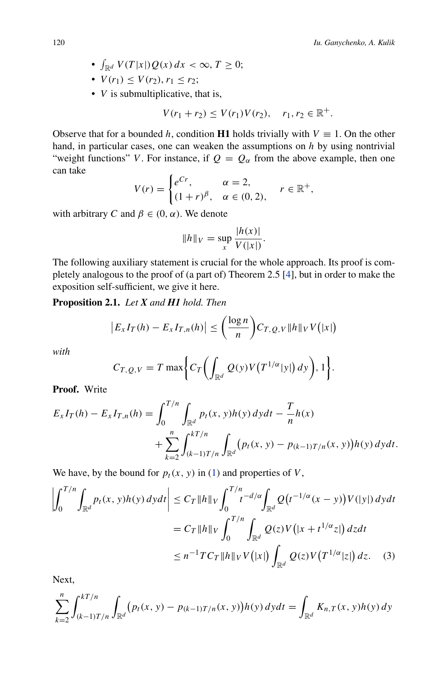- $\int_{\mathbb{R}^d} V(T|x|) Q(x) dx < \infty, T \ge 0;$
- $V(r_1) \leq V(r_2)$ ,  $r_1 \leq r_2$ ;
- *V* is submultiplicative, that is,

$$
V(r_1 + r_2) \le V(r_1)V(r_2), \quad r_1, r_2 \in \mathbb{R}^+.
$$

Observe that for a bounded *h*, condition **H1** holds trivially with  $V \equiv 1$ . On the other hand, in particular cases, one can weaken the assumptions on *h* by using nontrivial "weight functions" *V*. For instance, if  $Q = Q_\alpha$  from the above example, then one can take

$$
V(r) = \begin{cases} e^{Cr}, & \alpha = 2, \\ (1+r)^{\beta}, & \alpha \in (0,2), \end{cases} r \in \mathbb{R}^+,
$$

with arbitrary *C* and  $β ∈ (0, α)$ . We denote

$$
||h||_V = \sup_x \frac{|h(x)|}{V(|x|)}.
$$

The following auxiliary statement is crucial for the whole approach. Its proof is completely analogous to the proof of (a part of) Theorem 2.5 [\[4\]](#page-9-2), but in order to make the exposition self-sufficient, we give it here.

<span id="page-3-0"></span>**Proposition 2.1.** *Let X and H1 hold. Then*

$$
\left|E_xI_T(h)-E_xI_{T,n}(h)\right|\leq \left(\frac{\log n}{n}\right)C_{T,Q,V}\|h\|_V V(|x|)
$$

*with*

<span id="page-3-1"></span>
$$
C_{T,Q,V}=T\max\bigg\{C_T\bigg(\int_{\mathbb{R}^d}Q(y)V\big(T^{1/\alpha}|y|\big)\,dy\bigg),1\bigg\}.
$$

**Proof.** Write

$$
E_x I_T(h) - E_x I_{T,n}(h) = \int_0^{T/n} \int_{\mathbb{R}^d} p_t(x, y) h(y) dy dt - \frac{T}{n} h(x)
$$
  
+ 
$$
\sum_{k=2}^n \int_{(k-1)T/n}^{kT/n} \int_{\mathbb{R}^d} (p_t(x, y) - p_{(k-1)T/n}(x, y)) h(y) dy dt.
$$

We have, by the bound for  $p_t(x, y)$  in [\(1\)](#page-2-1) and properties of *V*,

$$
\left| \int_0^{T/n} \int_{\mathbb{R}^d} p_t(x, y) h(y) \, dy \, dt \right| \le C_T \|h\|_V \int_0^{T/n} t^{-d/\alpha} \int_{\mathbb{R}^d} Q(t^{-1/\alpha}(x - y)) V(|y|) \, dy \, dt
$$
\n
$$
= C_T \|h\|_V \int_0^{T/n} \int_{\mathbb{R}^d} Q(z) V(|x + t^{1/\alpha} z|) \, dz \, dt
$$
\n
$$
\le n^{-1} T C_T \|h\|_V V(|x|) \int_{\mathbb{R}^d} Q(z) V(T^{1/\alpha} |z|) \, dz. \tag{3}
$$

Next,

$$
\sum_{k=2}^{n} \int_{(k-1)T/n}^{kT/n} \int_{\mathbb{R}^d} (p_t(x, y) - p_{(k-1)T/n}(x, y)) h(y) \, dy \, dt = \int_{\mathbb{R}^d} K_{n,T}(x, y) h(y) \, dy
$$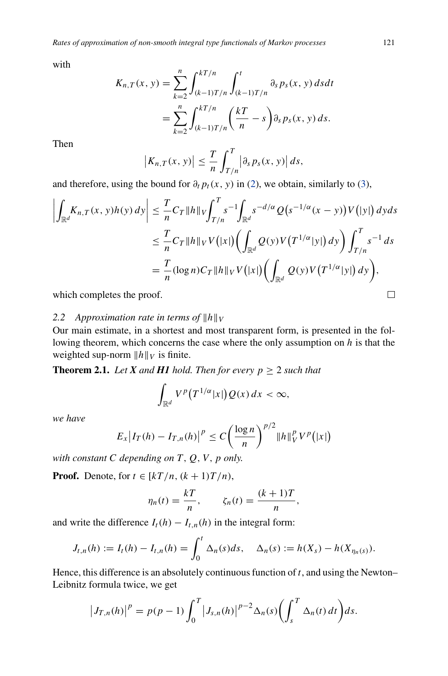with

$$
K_{n,T}(x, y) = \sum_{k=2}^{n} \int_{(k-1)T/n}^{kT/n} \int_{(k-1)T/n}^{t} \partial_{s} p_{s}(x, y) ds dt
$$
  
= 
$$
\sum_{k=2}^{n} \int_{(k-1)T/n}^{kT/n} \left(\frac{kT}{n} - s\right) \partial_{s} p_{s}(x, y) ds.
$$

Then

$$
\left|K_{n,T}(x,y)\right| \leq \frac{T}{n} \int_{T/n}^T \left|\partial_s p_s(x,y)\right| ds,
$$

and therefore, using the bound for  $\partial_t p_t(x, y)$  in [\(2\)](#page-2-0), we obtain, similarly to [\(3\)](#page-3-1),

$$
\left| \int_{\mathbb{R}^d} K_{n,T}(x, y) h(y) \, dy \right| \leq \frac{T}{n} C_T \|h\|_V \int_{T/n}^T s^{-1} \int_{\mathbb{R}^d} s^{-d/\alpha} Q(s^{-1/\alpha}(x - y)) V(|y|) \, dy ds
$$
  

$$
\leq \frac{T}{n} C_T \|h\|_V V(|x|) \left( \int_{\mathbb{R}^d} Q(y) V(T^{1/\alpha}|y|) \, dy \right) \int_{T/n}^T s^{-1} \, ds
$$
  

$$
= \frac{T}{n} (\log n) C_T \|h\|_V V(|x|) \left( \int_{\mathbb{R}^d} Q(y) V(T^{1/\alpha}|y|) \, dy \right),
$$

which completes the proof.

#### 2.2 Approximation rate in terms of  $||h||_V$

Our main estimate, in a shortest and most transparent form, is presented in the following theorem, which concerns the case where the only assumption on *h* is that the weighted sup-norm  $||h||_V$  is finite.

<span id="page-4-0"></span>**Theorem 2.1.** *Let*  $X$  *and*  $H1$  *hold. Then for every*  $p \geq 2$  *such that* 

$$
\int_{\mathbb{R}^d} V^p(T^{1/\alpha}|x|)Q(x)\,dx < \infty,
$$

*we have*

$$
E_x\big|I_T(h) - I_{T,n}(h)\big|^p \le C\bigg(\frac{\log n}{n}\bigg)^{p/2} \|h\|_V^p V^p(|x|)
$$

*with constant*  $C$  *depending on*  $T$ *,*  $Q$ *<i>, V, p only.* 

**Proof.** Denote, for  $t \in [kT/n, (k+1)T/n)$ ,

$$
\eta_n(t) = \frac{kT}{n}, \qquad \zeta_n(t) = \frac{(k+1)T}{n},
$$

and write the difference  $I_t(h) - I_{t,n}(h)$  in the integral form:

$$
J_{t,n}(h) := I_t(h) - I_{t,n}(h) = \int_0^t \Delta_n(s) ds, \quad \Delta_n(s) := h(X_s) - h(X_{\eta_n(s)}).
$$

Hence, this difference is an absolutely continuous function of *t*, and using the Newton– Leibnitz formula twice, we get

$$
\left|J_{T,n}(h)\right|^p = p(p-1)\int_0^T \left|J_{s,n}(h)\right|^{p-2} \Delta_n(s) \left(\int_s^T \Delta_n(t) dt\right) ds.
$$

 $\Box$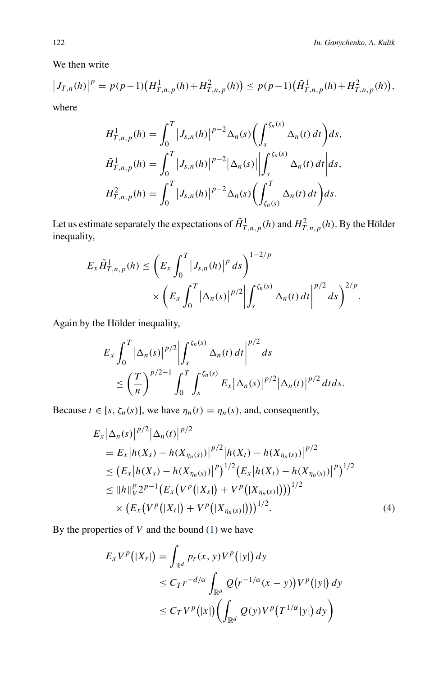<span id="page-5-0"></span>*.*

We then write

$$
\left|J_{T,n}(h)\right|^p = p(p-1)\left(H^1_{T,n,p}(h) + H^2_{T,n,p}(h)\right) \le p(p-1)\left(\tilde{H}^1_{T,n,p}(h) + H^2_{T,n,p}(h)\right),
$$

where

$$
H_{T,n,p}^{1}(h) = \int_{0}^{T} |J_{s,n}(h)|^{p-2} \Delta_{n}(s) \left(\int_{s}^{\zeta_{n}(s)} \Delta_{n}(t) dt\right) ds,
$$
  

$$
\tilde{H}_{T,n,p}^{1}(h) = \int_{0}^{T} |J_{s,n}(h)|^{p-2} |\Delta_{n}(s)| \left|\int_{s}^{\zeta_{n}(s)} \Delta_{n}(t) dt\right| ds,
$$
  

$$
H_{T,n,p}^{2}(h) = \int_{0}^{T} |J_{s,n}(h)|^{p-2} \Delta_{n}(s) \left(\int_{\zeta_{n}(s)}^{T} \Delta_{n}(t) dt\right) ds.
$$

Let us estimate separately the expectations of  $\tilde{H}^1_{T,n,p}(h)$  and  $H^2_{T,n,p}(h)$ . By the Hölder inequality,

$$
E_{x} \tilde{H}_{T,n,p}^{1}(h) \leq \left( E_{x} \int_{0}^{T} |J_{s,n}(h)|^{p} ds \right)^{1-2/p} \times \left( E_{x} \int_{0}^{T} |\Delta_{n}(s)|^{p/2} \left| \int_{s}^{\zeta_{n}(s)} \Delta_{n}(t) dt \right|^{p/2} ds \right)^{2/p}
$$

Again by the Hölder inequality,

$$
E_x \int_0^T \left| \Delta_n(s) \right|^{p/2} \left| \int_s^{\zeta_n(s)} \Delta_n(t) dt \right|^{p/2} ds
$$
  
\n
$$
\leq \left( \frac{T}{n} \right)^{p/2 - 1} \int_0^T \int_s^{\zeta_n(s)} E_x \left| \Delta_n(s) \right|^{p/2} \left| \Delta_n(t) \right|^{p/2} dt ds.
$$

Because  $t \in [s, \zeta_n(s)]$ , we have  $\eta_n(t) = \eta_n(s)$ , and, consequently,

$$
E_{x} |\Delta_{n}(s)|^{p/2} |\Delta_{n}(t)|^{p/2}
$$
  
=  $E_{x} |h(X_{s}) - h(X_{\eta_{n}(s)})|^{p/2} |h(X_{t}) - h(X_{\eta_{n}(s)})|^{p/2}$   
 $\leq (E_{x} |h(X_{s}) - h(X_{\eta_{n}(s)})|^{p})^{1/2} (E_{x} |h(X_{t}) - h(X_{\eta_{n}(s)})|^{p})^{1/2}$   
 $\leq ||h||^{p} \cdot 2^{p-1} (E_{x} (V^{p} (|X_{s}|) + V^{p} (|X_{\eta_{n}(s)}|)))^{1/2}$   
 $\times (E_{x} (V^{p} (|X_{t}|) + V^{p} (|X_{\eta_{n}(s)}|)))^{1/2}.$  (4)

By the properties of *V* and the bound [\(1\)](#page-2-1) we have

$$
E_x V^p(|X_r|) = \int_{\mathbb{R}^d} p_r(x, y) V^p(|y|) dy
$$
  
\n
$$
\leq C_T r^{-d/\alpha} \int_{\mathbb{R}^d} Q(r^{-1/\alpha}(x - y)) V^p(|y|) dy
$$
  
\n
$$
\leq C_T V^p(|x|) \left( \int_{\mathbb{R}^d} Q(y) V^p(T^{1/\alpha}|y|) dy \right)
$$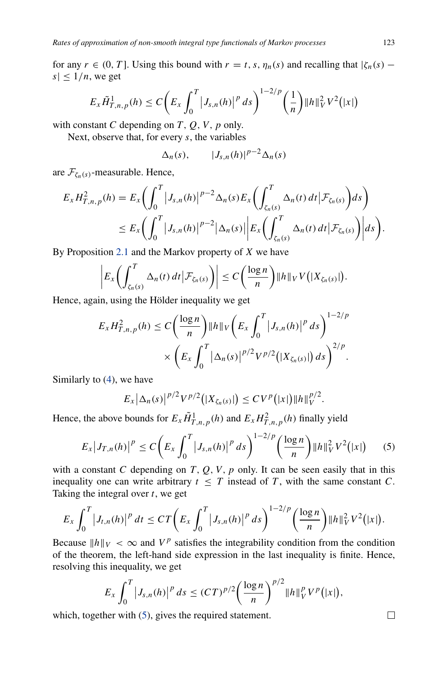for any  $r \in (0, T]$ . Using this bound with  $r = t, s, \eta_n(s)$  and recalling that  $|\zeta_n(s)$  $s \leq 1/n$ , we get

$$
E_x\tilde{H}_{T,n,p}^1(h) \leq C \bigg(E_x \int_0^T \big|J_{s,n}(h)\big|^p ds\bigg)^{1-2/p} \bigg(\frac{1}{n}\bigg) \|h\|_V^2 V^2(|x|)
$$

with constant  $C$  depending on  $T$ ,  $Q$ ,  $V$ ,  $p$  only.

Next, observe that, for every *s*, the variables

$$
\Delta_n(s), \qquad |J_{s,n}(h)|^{p-2}\Delta_n(s)
$$

are  $\mathcal{F}_{\zeta_n(s)}$ -measurable. Hence,

$$
E_x H_{T,n,p}^2(h) = E_x \bigg( \int_0^T \left| J_{s,n}(h) \right|^{p-2} \Delta_n(s) E_x \bigg( \int_{\zeta_n(s)}^T \Delta_n(t) dt \, \Big| \mathcal{F}_{\zeta_n(s)} \bigg) ds \bigg) \leq E_x \bigg( \int_0^T \left| J_{s,n}(h) \right|^{p-2} \left| \Delta_n(s) \right| \left| E_x \bigg( \int_{\zeta_n(s)}^T \Delta_n(t) dt \, \Big| \mathcal{F}_{\zeta_n(s)} \bigg) \right| ds \bigg).
$$

By Proposition [2.1](#page-3-0) and the Markov property of *X* we have

$$
\left|E_x\left(\int_{\zeta_n(s)}^T \Delta_n(t) dt \big| \mathcal{F}_{\zeta_n(s)}\right)\right| \leq C\left(\frac{\log n}{n}\right) \|h\|_V V\big(|X_{\zeta_n(s)}|\big).
$$

Hence, again, using the Hölder inequality we get

$$
E_x H_{T,n,p}^2(h) \le C \bigg( \frac{\log n}{n} \bigg) \|h\|_V \bigg( E_x \int_0^T \big| J_{s,n}(h) \big|^p \, ds \bigg)^{1-2/p} \times \bigg( E_x \int_0^T \big| \Delta_n(s) \big|^{p/2} V^{p/2} \big( |X_{\zeta_n(s)}| \big) \, ds \bigg)^{2/p}.
$$

Similarly to [\(4\)](#page-5-0), we have

$$
E_x\big|\Delta_n(s)\big|^{p/2}V^{p/2}\big(|X_{\zeta_n(s)}|\big)\leq CV^p\big(|x|\big)\|h\|_V^{p/2}.
$$

Hence, the above bounds for  $E_x \tilde{H}_{T,n,p}^1(h)$  and  $E_x H_{T,n,p}^2(h)$  finally yield

<span id="page-6-0"></span>
$$
E_x |J_{T,n}(h)|^p \le C \bigg( E_x \int_0^T |J_{s,n}(h)|^p ds \bigg)^{1-2/p} \bigg( \frac{\log n}{n} \bigg) \|h\|_V^2 V^2(|x|) \qquad (5)
$$

with a constant *C* depending on *T*, *Q*, *V*, *p* only. It can be seen easily that in this inequality one can write arbitrary  $t \leq T$  instead of *T*, with the same constant *C*. Taking the integral over *t*, we get

$$
E_x \int_0^T \left|J_{t,n}(h)\right|^p dt \leq CT \left(E_x \int_0^T \left|J_{s,n}(h)\right|^p ds\right)^{1-2/p} \left(\frac{\log n}{n}\right) \|h\|_V^2 V^2(|x|).
$$

Because  $||h||_V < \infty$  and  $V^p$  satisfies the integrability condition from the condition of the theorem, the left-hand side expression in the last inequality is finite. Hence, resolving this inequality, we get

$$
E_x \int_0^T \left|J_{s,n}(h)\right|^p ds \le (CT)^{p/2} \left(\frac{\log n}{n}\right)^{p/2} \|h\|_V^p V^p(|x|),
$$

which, together with  $(5)$ , gives the required statement.

 $\Box$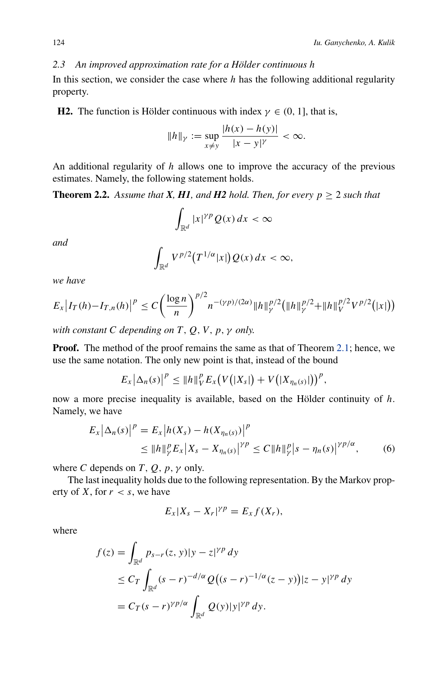## *2.3 An improved approximation rate for a Hölder continuous h*

In this section, we consider the case where *h* has the following additional regularity property.

**H2.** The function is Hölder continuous with index  $\gamma \in (0, 1]$ , that is,

$$
||h||_{\gamma} := \sup_{x \neq y} \frac{|h(x) - h(y)|}{|x - y|^{\gamma}} < \infty.
$$

<span id="page-7-1"></span>An additional regularity of *h* allows one to improve the accuracy of the previous estimates. Namely, the following statement holds.

**Theorem 2.2.** Assume that **X**, **H1**, and **H2** hold. Then, for every  $p > 2$  such that

$$
\int_{\mathbb{R}^d} |x|^{\gamma p} Q(x) \, dx < \infty
$$

*and*

$$
\int_{\mathbb{R}^d} V^{p/2}(T^{1/\alpha} |x|) Q(x) dx < \infty,
$$

*we have*

$$
E_x\big|I_T(h) - I_{T,n}(h)\big|^p \le C\bigg(\frac{\log n}{n}\bigg)^{p/2} n^{-(\gamma p)/(2\alpha)} \|h\|_{\gamma}^{p/2} \big(\|h\|_{\gamma}^{p/2} + \|h\|_{\gamma}^{p/2} V^{p/2}(|x|)\big)
$$

*with constant C depending on T , Q, V , p, γ only.*

**Proof.** The method of the proof remains the same as that of Theorem [2.1;](#page-4-0) hence, we use the same notation. The only new point is that, instead of the bound

$$
E_x\big|\Delta_n(s)\big|^p\leq \|h\|_V^p E_x\big(V\big(|X_s|\big)+V\big(|X_{\eta_n(s)}|\big)\big)^p,
$$

now a more precise inequality is available, based on the Hölder continuity of *h*. Namely, we have

$$
E_x |\Delta_n(s)|^p = E_x |h(X_s) - h(X_{\eta_n(s)})|^p
$$
  
\n
$$
\leq \|h\|_y^p E_x |X_s - X_{\eta_n(s)}|^{y_p} \leq C \|h\|_y^p |s - \eta_n(s)|^{y_p/\alpha},
$$
 (6)

where *C* depends on *T*, *Q*, *p*,  $\gamma$  only.

The last inequality holds due to the following representation. By the Markov property of *X*, for  $r < s$ , we have

<span id="page-7-0"></span>
$$
E_x|X_s - X_r|^{\gamma p} = E_x f(X_r),
$$

where

$$
f(z) = \int_{\mathbb{R}^d} p_{s-r}(z, y)|y - z|^{\gamma p} dy
$$
  
\n
$$
\leq C_T \int_{\mathbb{R}^d} (s - r)^{-d/\alpha} Q((s - r)^{-1/\alpha} (z - y)) |z - y|^{\gamma p} dy
$$
  
\n
$$
= C_T (s - r)^{\gamma p/\alpha} \int_{\mathbb{R}^d} Q(y)|y|^{\gamma p} dy.
$$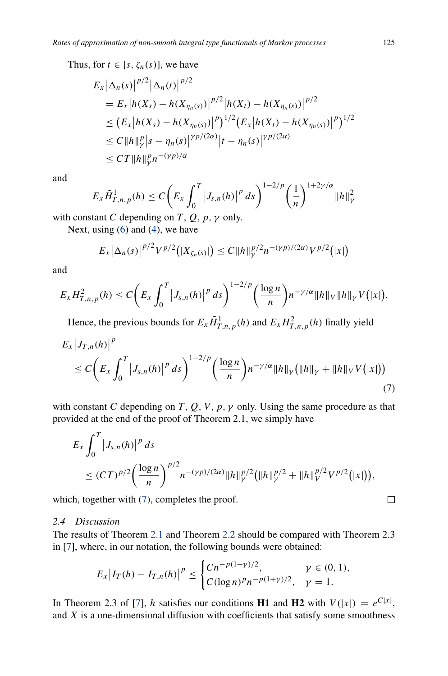Thus, for  $t \in [s, \zeta_n(s)]$ , we have

$$
E_x |\Delta_n(s)|^{p/2} |\Delta_n(t)|^{p/2}
$$
  
=  $E_x |h(X_s) - h(X_{\eta_n(s)})|^{p/2} |h(X_t) - h(X_{\eta_n(s)})|^{p/2}$   
 $\leq (E_x |h(X_s) - h(X_{\eta_n(s)})|^p)^{1/2} (E_x |h(X_t) - h(X_{\eta_n(s)})|^p)^{1/2}$   
 $\leq C ||h||_p^p |s - \eta_n(s)|^{p/(2\alpha)} |t - \eta_n(s)|^{p/(2\alpha)}$   
 $\leq C T ||h||_p^p n^{-(\gamma p)/\alpha}$ 

and

$$
E_{x}\tilde{H}_{T,n,p}^{1}(h) \leq C \bigg(E_{x} \int_{0}^{T} \big|J_{s,n}(h)\big|^{p} ds\bigg)^{1-2/p} \bigg(\frac{1}{n}\bigg)^{1+2\gamma/\alpha} \|h\|_{\gamma}^{2}
$$

with constant *C* depending on *T*, *Q*, *p*,  $\gamma$  only.

Next, using  $(6)$  and  $(4)$ , we have

$$
E_x\big|\Delta_n(s)\big|^{p/2}V^{p/2}\big(|X_{\zeta_n(s)}|\big)\leq C\|h\|_{\gamma}^{p/2}n^{-(\gamma p)/(2\alpha)}V^{p/2}\big(|x|\big)
$$

and

$$
E_x H_{T,n,p}^2(h) \leq C \bigg( E_x \int_0^T \big| J_{s,n}(h) \big|^p \, ds \bigg)^{1-2/p} \bigg( \frac{\log n}{n} \bigg) n^{-\gamma/\alpha} \|h\|_V \|h\|_V V(|x|).
$$

Hence, the previous bounds for  $E_x \tilde{H}_{T,n,p}^1(h)$  and  $E_x H_{T,n,p}^2(h)$  finally yield

$$
E_x |J_{T,n}(h)|^p
$$
  
\n
$$
\leq C \bigg( E_x \int_0^T |J_{s,n}(h)|^p ds \bigg)^{1-2/p} \bigg( \frac{\log n}{n} \bigg) n^{-\gamma/\alpha} ||h||_{\gamma} \big( ||h||_{\gamma} + ||h||_{V} V(|x|) \big)
$$
  
\n(7)

with constant *C* depending on *T*, *Q*, *V*, *p*,  $\gamma$  only. Using the same procedure as that provided at the end of the proof of Theorem 2.1, we simply have

$$
E_x \int_0^T |J_{s,n}(h)|^p ds
$$
  
\n
$$
\leq (CT)^{p/2} \left(\frac{\log n}{n}\right)^{p/2} n^{-(\gamma p)/(2\alpha)} \|h\|_{\gamma}^{p/2} (\|h\|_{\gamma}^{p/2} + \|h\|_{V}^{p/2} V^{p/2}(|x|)),
$$

which, together with  $(7)$ , completes the proof.

## *2.4 Discussion*

The results of Theorem [2.1](#page-4-0) and Theorem [2.2](#page-7-1) should be compared with Theorem 2.3 in [\[7](#page-9-1)], where, in our notation, the following bounds were obtained:

$$
E_x\big|I_T(h) - I_{T,n}(h)\big|^p \le \begin{cases} Cn^{-p(1+\gamma)/2}, & \gamma \in (0,1), \\ C(\log n)^{p}n^{-p(1+\gamma)/2}, & \gamma = 1. \end{cases}
$$

In Theorem 2.3 of [\[7\]](#page-9-1), *h* satisfies our conditions **H1** and **H2** with  $V(|x|) = e^{C|x|}$ , and *X* is a one-dimensional diffusion with coefficients that satisfy some smoothness

<span id="page-8-0"></span> $\Box$